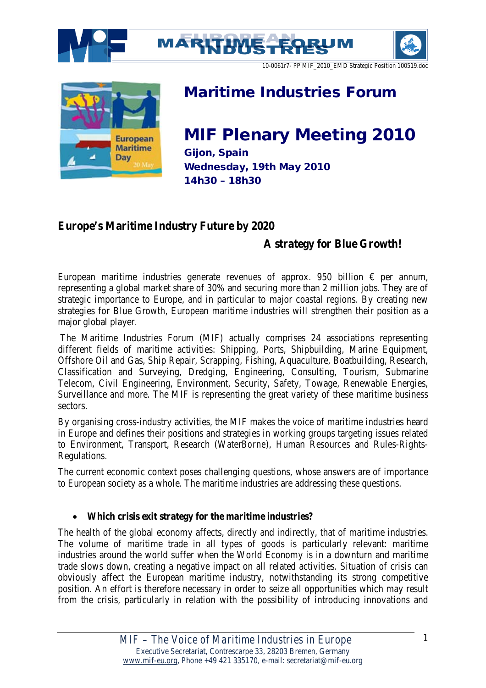







## Maritime Industries Forum

# MIF Plenary Meeting 2010

Gijon, Spain Wednesday, 19th May 2010 14h30 – 18h30

## **Europe's Maritime Industry Future by 2020**

### **A strategy for Blue Growth!**

European maritime industries generate revenues of approx. 950 billion  $\epsilon$  per annum, representing a global market share of 30% and securing more than 2 million jobs. They are of strategic importance to Europe, and in particular to major coastal regions. By creating new strategies for Blue Growth, European maritime industries will strengthen their position as a major global player.

The Maritime Industries Forum (MIF) actually comprises 24 associations representing different fields of maritime activities: Shipping, Ports, Shipbuilding, Marine Equipment, Offshore Oil and Gas, Ship Repair, Scrapping, Fishing, Aquaculture, Boatbuilding, Research, Classification and Surveying, Dredging, Engineering, Consulting, Tourism, Submarine Telecom, Civil Engineering, Environment, Security, Safety, Towage, Renewable Energies, Surveillance and more. The MIF is representing the great variety of these maritime business sectors.

By organising cross-industry activities, the MIF makes the voice of maritime industries heard in Europe and defines their positions and strategies in working groups targeting issues related to Environment, Transport, Research (Water*Borne*), Human Resources and Rules-Rights-Regulations.

The current economic context poses challenging questions, whose answers are of importance to European society as a whole. The maritime industries are addressing these questions.

#### • **Which crisis exit strategy for the maritime industries?**

The health of the global economy affects, directly and indirectly, that of maritime industries. The volume of maritime trade in all types of goods is particularly relevant: maritime industries around the world suffer when the World Economy is in a downturn and maritime trade slows down, creating a negative impact on all related activities. Situation of crisis can obviously affect the European maritime industry, notwithstanding its strong competitive position. An effort is therefore necessary in order to seize all opportunities which may result from the crisis, particularly in relation with the possibility of introducing innovations and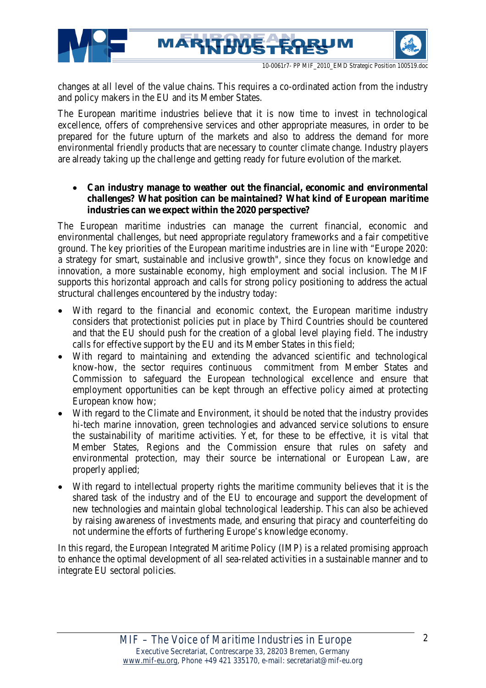





changes at all level of the value chains. This requires a co-ordinated action from the industry and policy makers in the EU and its Member States.

The European maritime industries believe that it is now time to invest in technological excellence, offers of comprehensive services and other appropriate measures, in order to be prepared for the future upturn of the markets and also to address the demand for more environmental friendly products that are necessary to counter climate change. Industry players are already taking up the challenge and getting ready for future evolution of the market.

#### • **Can industry manage to weather out the financial, economic and environmental challenges? What position can be maintained? What kind of European maritime industries can we expect within the 2020 perspective?**

The European maritime industries can manage the current financial, economic and environmental challenges, but need appropriate regulatory frameworks and a fair competitive ground. The key priorities of the European maritime industries are in line with "Europe 2020: a strategy for smart, sustainable and inclusive growth", since they focus on knowledge and innovation, a more sustainable economy, high employment and social inclusion. The MIF supports this horizontal approach and calls for strong policy positioning to address the actual structural challenges encountered by the industry today:

- With regard to the financial and economic context, the European maritime industry considers that protectionist policies put in place by Third Countries should be countered and that the EU should push for the creation of a global level playing field. The industry calls for effective support by the EU and its Member States in this field;
- With regard to maintaining and extending the advanced scientific and technological know-how, the sector requires continuous commitment from Member States and Commission to safeguard the European technological excellence and ensure that employment opportunities can be kept through an effective policy aimed at protecting European know how;
- With regard to the Climate and Environment, it should be noted that the industry provides hi-tech marine innovation, green technologies and advanced service solutions to ensure the sustainability of maritime activities. Yet, for these to be effective, it is vital that Member States, Regions and the Commission ensure that rules on safety and environmental protection, may their source be international or European Law, are properly applied;
- With regard to intellectual property rights the maritime community believes that it is the shared task of the industry and of the EU to encourage and support the development of new technologies and maintain global technological leadership. This can also be achieved by raising awareness of investments made, and ensuring that piracy and counterfeiting do not undermine the efforts of furthering Europe's knowledge economy.

In this regard, the European Integrated Maritime Policy (IMP) is a related promising approach to enhance the optimal development of all sea-related activities in a sustainable manner and to integrate EU sectoral policies.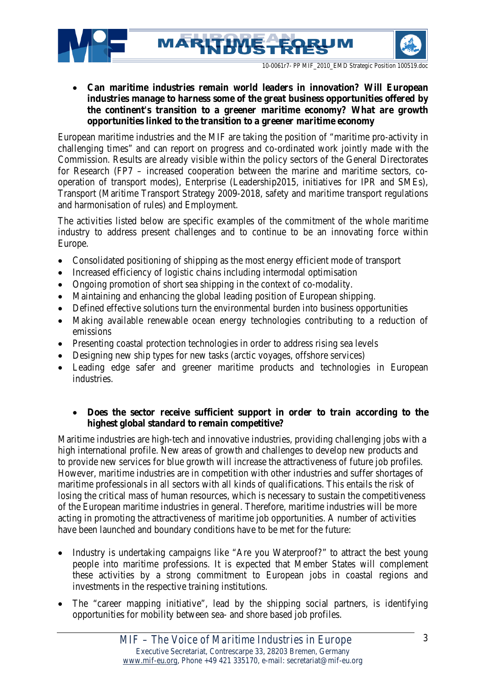





• **Can maritime industries remain world leaders in innovation? Will European industries manage to harness some of the great business opportunities offered by the continent's transition to a greener maritime economy? What are growth opportunities linked to the transition to a greener maritime economy**

European maritime industries and the MIF are taking the position of "maritime pro-activity in challenging times" and can report on progress and co-ordinated work jointly made with the Commission. Results are already visible within the policy sectors of the General Directorates for Research (FP7 – increased cooperation between the marine and maritime sectors, cooperation of transport modes), Enterprise (Leadership2015, initiatives for IPR and SMEs), Transport (Maritime Transport Strategy 2009-2018, safety and maritime transport regulations and harmonisation of rules) and Employment.

The activities listed below are specific examples of the commitment of the whole maritime industry to address present challenges and to continue to be an innovating force within Europe.

- Consolidated positioning of shipping as the most energy efficient mode of transport
- Increased efficiency of logistic chains including intermodal optimisation
- Ongoing promotion of short sea shipping in the context of co-modality.
- Maintaining and enhancing the global leading position of European shipping.
- Defined effective solutions turn the environmental burden into business opportunities
- Making available renewable ocean energy technologies contributing to a reduction of emissions
- Presenting coastal protection technologies in order to address rising sea levels
- Designing new ship types for new tasks (arctic voyages, offshore services)
- Leading edge safer and greener maritime products and technologies in European industries.

#### • **Does the sector receive sufficient support in order to train according to the highest global standard to remain competitive?**

Maritime industries are high-tech and innovative industries, providing challenging jobs with a high international profile. New areas of growth and challenges to develop new products and to provide new services for blue growth will increase the attractiveness of future job profiles. However, maritime industries are in competition with other industries and suffer shortages of maritime professionals in all sectors with all kinds of qualifications. This entails the risk of losing the critical mass of human resources, which is necessary to sustain the competitiveness of the European maritime industries in general. Therefore, maritime industries will be more acting in promoting the attractiveness of maritime job opportunities. A number of activities have been launched and boundary conditions have to be met for the future:

- Industry is undertaking campaigns like "Are you Waterproof?" to attract the best young people into maritime professions. It is expected that Member States will complement these activities by a strong commitment to European jobs in coastal regions and investments in the respective training institutions.
- The "career mapping initiative", lead by the shipping social partners, is identifying opportunities for mobility between sea- and shore based job profiles.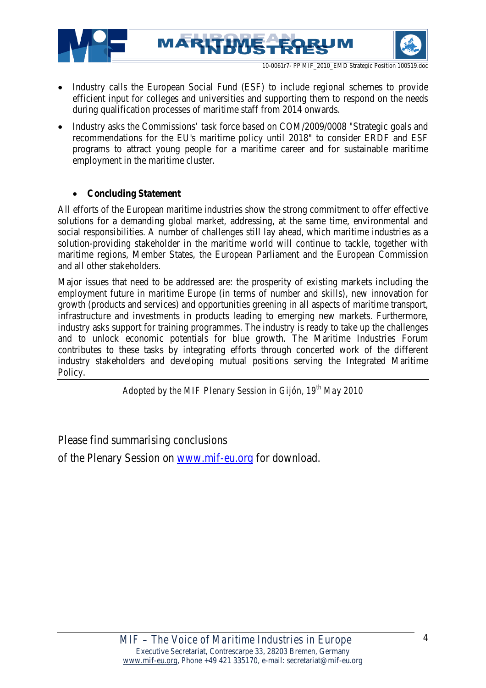





• Industry calls the European Social Fund (ESF) to include regional schemes to provide efficient input for colleges and universities and supporting them to respond on the needs during qualification processes of maritime staff from 2014 onwards.

MARKTHUS

• Industry asks the Commissions' task force based on COM/2009/0008 "Strategic goals and recommendations for the EU's maritime policy until 2018" to consider ERDF and ESF programs to attract young people for a maritime career and for sustainable maritime employment in the maritime cluster.

#### • **Concluding Statement**

All efforts of the European maritime industries show the strong commitment to offer effective solutions for a demanding global market, addressing, at the same time, environmental and social responsibilities. A number of challenges still lay ahead, which maritime industries as a solution-providing stakeholder in the maritime world will continue to tackle, together with maritime regions, Member States, the European Parliament and the European Commission and all other stakeholders.

Major issues that need to be addressed are: the prosperity of existing markets including the employment future in maritime Europe (in terms of number and skills), new innovation for growth (products and services) and opportunities greening in all aspects of maritime transport, infrastructure and investments in products leading to emerging new markets. Furthermore, industry asks support for training programmes. The industry is ready to take up the challenges and to unlock economic potentials for blue growth. The Maritime Industries Forum contributes to these tasks by integrating efforts through concerted work of the different industry stakeholders and developing mutual positions serving the Integrated Maritime Policy.

*Adopted by the MIF Plenary Session in Gijón, 19th May 2010*

Please find summarising conclusions

of the Plenary Session on [www.mif-eu.org](http://www.mif-eu.org/) for download.